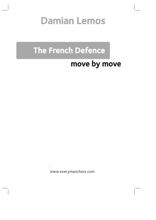# Damian Lemos

## The French Defence

## move by move

www.everymanchess.com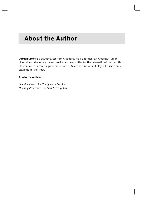### **About the Author**

**Damian Lemos** is a grandmaster from Argentina. He is a former Pan-American junior champion and was only 15 years old when he qualified for the international master title. He went on to become a grandmaster at 18. An active tournament player, he also trains students at ichess.net.

#### **Also by the Author:**

*Opening Repertoire: The Queen's Gambit Opening Repertoire: The Fianchetto System*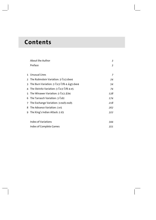## **Contents**

|               | About the Author                          | 3   |
|---------------|-------------------------------------------|-----|
|               | Preface                                   | 5   |
|               |                                           |     |
|               | 1 Unusual Lines                           | 7   |
| $\mathcal{L}$ | The Rubinstein Variation: 3 2c3 dxe4      | 24  |
| 3             | The Burn Variation: 3 ②c3 ②f6 4 ��g5 dxe4 | 54  |
| 4             | The Steinitz Variation: 3 2c3 2f6 4 e5    | 74  |
| 5.            | The Winawer Variation: 3 公c3 奠b4          | 138 |
| 6             | The Tarrasch Variation: 3 2d2             | 174 |
| 7             | The Exchange Variation: 3 exd5 exd5       | 218 |
| 8             | The Advance Variation: 3 e5               | 262 |
| 9             | The King's Indian Attack: 2 d3            | 322 |
|               |                                           |     |
|               | <b>Index of Variations</b>                | 344 |
|               | Index of Complete Games                   | 351 |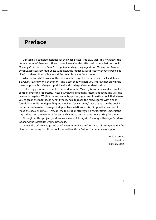### **Preface**

Discussing a complete defence for the black pieces is no easy task, and nowadays the large amount of theory out there makes it even harder. After writing my first two books, *Opening Repertoire: The Fianchetto System* and *Opening Repertoire: The Queen's Gambit*, Byron Jacobs at Everyman Chess suggested the French as a subject for another book. I decided to take on the challenge and the result is in your hands now.

Why the French? It is one of the most reliable ways for Black to meet 1 e4, a defence played by several world champions, and a tool that will help you improve not only in the opening phase, but also your positional and strategic chess understanding.

Unlike my previous two books, this work is in the Move by Move series and so is not a complete opening repertoire. That said, you will find many interesting ideas and will also be covered against White's main choices. My primary goal was to write a book that allows you to grasp the main ideas behind the French, to reach the middlegame with a solid foundation while not depending too much on "exact theory". For this reason the book is not a comprehensive coverage of all possible variations – this is impractical and would make the book enormous! Instead, the focus is on strategic plans, positional understanding and putting the reader to the test by having to answer questions during the games.

Throughout this project good use was made of *Stockfish 10*, along with *Mega Database 2020* and the *ChessBase* Online Database.

I must also acknowledge and thank Everyman Chess and Byron Jacobs for giving me the chance to write my first three books, as well as Alicia Paddon for her endless support.

> Damian Lemos, London, February 2021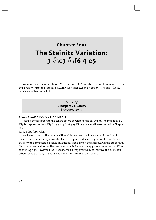### **Chapter Four The Steinitz Variation: 3 Ìc3 Ìf6 4 e5**

We now move on to the Steinitz Variation with 4 e5, which is the most popular move in this position. After the standard 4... $\triangle$ fd7 White has two main options, 5 f4 and 5  $\triangle$ ce2, which we will examine in turn.

> *Game 13*  **G.Kasparov-E.Bareev**  Novgorod 1997

#### **1 e4 e6 2 d4 d5 3 Ìc3 Ìf6 4 e5 Ìfd7 5 f4**

Adding extra support to the centre before developing the g1-knight. The immediate 5  $\hat{\mathbb{Z}}$ f3 transposes to the 2  $\hat{\mathbb{Z}}$ f3!? d5 3  $\hat{\mathbb{Z}}$ c3  $\hat{\mathbb{Z}}$ f6 4 e5  $\hat{\mathbb{Z}}$ fd7 5 d4 variation examined in Chapter One.

#### **5...c5 6 Ìf3 Ìc6 7 Íe3**

We have arrived at the main position of this system and Black has a big decision to make. Before mentioning moves for Black let's point out some key concepts: the e5-pawn gives White a considerable space advantage, especially on the kingside. On the other hand, Black has already attacked the centre with ...c7-c5 and can apply more pressure via ...f7-f6 or even ...g7-g5. However, Black needs to find a way eventually to improve the c8-bishop, otherwise it is usually a "bad" bishop, crashing into the pawn chain.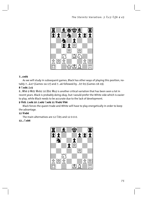

#### $7...cxda$

As we will study in subsequent games, Black has other ways of playing this position, notably 7... Le7 (Games 14-17) and 7... a6 followed by ... b7-b5 (Games 18-19).  $8\sqrt[6]{}$ xd4 $\angle$ c5

8... No 9 Wd2 Wyb2 10 Lb1 Wa3 is another critical variation that has been seen a lot in recent years. Black is probably doing okay, but I would prefer the White side which is easier to play. while Black needs to be accurate due to the lack of development.

#### 9 曾d2 盒xd4 10 盒xd4 ②xd4 11 曾xd4 曾b6

Black forces the queen trade and White will have to play energetically in order to keep the advantage.

#### 12 Wyb6

The main alternatives are 12 2b5 and 12 0-0-0.

#### $12 \ldots \hat{\mathcal{G}}$  xb6

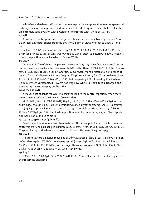White has a risk-free and long-term advantage in the endgame, due to more space and a stronger bishop arising from the dominance of the dark squares. Nevertheless, Black has an extremely solid position with possibilities to rupture with ...f7-f6 or ...g7-g5.

#### 13 a4!?

As we can usually appreciate in his games, Kasparov opts for active approaches. Now Black faces a difficult choice from the positional point of view: whether to allow a4-a5 or not.

Instead, 13 公b5 is seen more often; e.g. 13... ge7 14 0-0-0 皇d7 15 公d4 a6 16 曾b1 公c8?! 17 h4 (or 17 b3!?) 17...h5 18 Lh3 was M.Kobalia-U.Weisbuch, St. Petersburg 2009. Needless to say, the position is much easier to play for White.

#### 13…<sup>企</sup>e7

I'm not a big fan of fixing the pawn structure with 13...a5 since that leaves weaknesses on the queenside, such as the b5-square: 14 b3! (better than 14  $\&$ b5  $\&$ e7 15 b3 f6 16 exf6+ qxf6 17 宫d2 盒d7 18 置e1, as in Kir.Georgiev-M.Gurevich, Manila Interzonal 1990, since af-21 f5) 14... 盒d7 15 0-0-0 f6 16 exf6 qxf6 17 盒e2, preparing 盒f3 followed by Ihe1, when Black's centre is vulnerable. It is worth noticing how White's bishop does a great job on f3 preventing any counterplay on the q-file.

#### 14 a5 2d7 15 \$d2

It makes a lot of sense for White to keep the king in the centre, especially when there are no queens on board. White can also consider:

slight edge, though Black is close to equalizing especially if the freeing ...e6-e5 is achieved.

b) 15 h4 stops Black main reaction of ... $q7 - q5$ . A possible continuation is 15... $\&$ b8 16 置h3 公c6 17 置q3 q6 18 金d2 and White position looks better, although again Black's position will be a tough nut to crack.

#### 15...g5 16 g3 gxf4 17 gxf4 f6 18 g1

Development is more relevant than material! This move puts Black to the test, whereas capturing on f6 helps Black get his pieces out: 18 exf6+  $\triangle$ xf6 19  $\triangle$ d3  $\triangle$ d7 20  $\triangle$ e2  $\triangle$ hg8 21 Ing1 \$d6 22 c3 and a draw was agreed in N.Short-J.Timman, Novgorod 1995.

#### 18...fxe5

He cannot afford a passive move like 18... f7, as after 19 If e1! Black is, believe it or not, defenceless against White's threats; e.g. 19...a6 (or 19... g8 20 Exq8 @xq8 21 2b5) 20 ②xd5 exd5 21 e6+ 술f8 22 b4!? (even stronger than capturing on d7) 22...۞b8 23 e7+ 술e8 24 gd3 2c6 25 骂q7 f5 26 ge2 h5 27 gxh5+ and wins.

#### 

If 19 fxe5 公xe5 20 lq7+ 샿f6 21 lc7 오d7 22 lkb7 오c6 Black has better placed pieces in the upcoming endgame.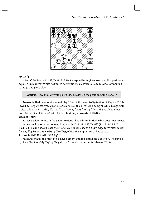

#### 19...exf4

If 19...a6 20 ലae1 e4 21 ലீg7+ \$d6 22 \$e3, despite the engines assessing this position as equal, it is clear that White has much better practical chances due to his development advantage and piece play.

Question: How should White play if Black closes up the position with 19...e4 -?

Answer: In that case, White would play 20 2b5! (instead, 20 1g7+ 雪f6 21 1gq1 2f8 followed by ... 2q6 is far from clear) 20...a6 (or 20... 2f6 21 2c7 国b8 22 罝q7+ 含f8 23 罝aq1 with both 24... h5 and 24... e8 with 25 f5!, obtaining a powerful initiative.

#### 20 ae1 2f8 ?!

Bareev decides to return the pawns to neutralize White's initiative but does not succeed in his desires. It was better to hang tough with 20...公f6 21 罝g7+ 會f8 (21...會d6 22 罝f7 ©e8 23 Ic5 b6 24 axb6 axb6 25 Ic6 Iq8, which the engines regard as equal.

#### 21 2xd5+ \$d6 22 2xf4 e5 23 里g3!?

Kasparov makes the most of his development and the black king's position. The simple 23 gxc8 gxc8 24 公d3 公q6 25 ge4 also looks much more comfortable for White.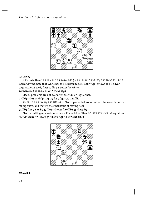

#### 23... &xh3

If 23...exf4 then 24 骂d3+ 金c7 25 骂e7+ 盒d7 (or 25... ab8 26 骂e8! ②q6 27 骂xh8 ②xh8 28 置d8 and wins; note that White has to be careful too: 26 置d8? ②g6! throws all his advantage away) 26  $\&$ xd7  $\&$ g6 27  $\&$ e4 is better for White.

#### 24 国d3+ 含c6 25 耳c3+ 含d6 26 公xh3 耳g8

Black's problems are not over after 26... 296 27 295 either.

#### 

30... Exh2 31 Ef3+ 含q4 32 Ef7 wins. Black's pieces lack coordination, the seventh rank is falling apart, and there is the small issue of mating nets.

#### 31 lb3 lb8 32 a6 b5 33 0e7+ \$f6 34 0c6 lb6 35 0xe5 h5

Black is putting up a solid resistance. If now 36 h4? then 36... If5 37 @f3 Ixa6 equalizes. 36 2d3 Ixh2 37 2b4 宫g5 38 If3 2g6 39 If7 Ih4 40 c3



#### 40... Lxb4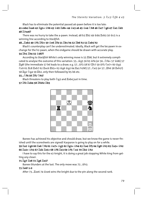Black has to eliminate the potential passed a6-pawn before it is too late:

#### 48 37хаб?

There was no hurry to take the a-pawn. Instead, 48 b3 国b2 49 曾d4 置xb3 50 曾c5 is a winning line according to Stockfish.

#### 

Black's counterplay can't be underestimated. Ideally, Black will get the b4-pawn in exchange for the h2-pawn, when the endgame should be drawn with accurate play.

#### 54 gh1 gh4 55 솧d6?!

According to Stockfish White's only winning move is 55 LB8, but it extremely complicated to analyse the outcome of this variation: 55... @ q5 56 b5 @ f4 (or 56... 2f4+ 57 @ d6) 57 ଞq8! (the immediate 57 b6 leads to a draw; e.g. 57...샿f3 58 b7 ଞH7 59 含f5 ۞e7+ 60 含q5 ②c6 61 耳c8 耳xb7 62 耳xc6 耳b5+ 63 \$q6 \$q2 64 耳a1 h1N!) 57…②e5 (or 57…耳h6 58 耳xh2!) 58 骂q2 ②q4 59 骂b2, only then followed by b5-b6 etc.

#### 55... 2f4 56 耳f5 2h5!

Black threatens to play both ②q3 and axb4 just in time.

#### 57 耳f2 耳xb4 58 耳fxh2 耳b5



Bareev has achieved his objective and should draw, but we know the game is never finished until the scoresheets are signed! Kasparov is going to play on for a while.

#### 66  $\Xi$ a2+ 샿h3 67  $\Xi$ d2  $\Xi$ e5+ 68 샿f6  $\Xi$ e3 69 샿f5 ۞e2 70  $\Xi$ b2 샿h2

I have to say this for the e2-knight, it is doing a great job stopping White king from getting any closer.

#### 71 骂g7 骂e8 72 骂g6 骂e3?

Bareev blunders at the last. The only move was 72... \$h3.

#### 73 罩e6! 1-0

After 73... Lace 74 \$xe6 wins the knight due to the pin along the second rank.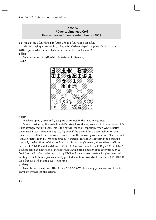#### Game 14 J.Cuenca Jimenez-J.Cori Iberoamerican Championship, Linares 2019

#### 1 e4 e6 2 d4 d5 3 0c3 0f6 4 e5 0fd7 5 f4 c5 6 0f3 0c6 7 e8 e3 e7

I started paying attention to 7.... e7 after Carlsen played it against Karjakin back in 2010, a game which you will of course find in this book as well!  $S \cong A$ 

An alternative is 8 a3!?, which is featured in Game 17.

#### $8.0 - 0.$



#### $9$  dxc5

The developing 9  $2e2$  and 9  $2d3$  are examined in the next two games.

Before considering the main lines let's take a look at a key concept in this variation: 9 0-0-0 is strongly met by 9...c4!. This is the natural reaction, especially when White castles queenside. Black is ready to play ...b7-b5 even if the pawn is lost: opening lines on the queenside is all that matters. As we can see from the following continuation, Black's attack is much faster: 10 f5 b5 (White is already in trouble) 11  $\&$ xb5? (capturing the b-pawn is probably the last thing White should do in this position; however, alternatives are little better: 11 a3 b4 12 axb4  $\&$ xb4 and ... \add as is unstoppable; or 11 f6 qxf6 12  $\&$ h6 fxe5 13 \$xf8 \$xf8 14 dxe5 \&dxe5 15 \&xe5 \&xe5 and Black's position speaks for itself; or 11 fxe6 fxe6 12 @q5 b4 13 @e2 c3 14 bxc3 @b6! and the engines give Black a plus seven advantage, which should give us a pretty good idea of how powerful the attack is) 11... Eb8 12 ②c3 *Wb*6 13 b3 *Wa5* and Black is winning.

#### $9...$  xc5!?

An ambitious recapture. After 9... 2xc5 10 0-0-0 White usually gets a favourable endgame after trades in the centre: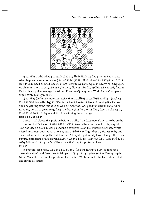

a) 10...豐b6 11 ��d4 ��xd4 12 ��xd4 ��xd4 13 ��xd4 ��xd4 14 ��xd4 (White has a space advantage and a superior bishop) 14...a6 15 h4 (15 1d1?! b5 16 2e2 2c5 17 g3 b4 18 2d4 오d7 19 오g2 ≌ac8 20 ≌he1 프c7 21 b3 프fc8 22 샇d2 was only equal in E.Torre-N.T.S.Nguyen, Ho Chi Minh City 2015) 15...b6 16 h5 h6 17 b3 罩a7 18 曾b2 罩c7 19 罩d2 拿b7 20 拿d3 @c5 21 Qe2 with a slight advantage for White, I.Kurnosov-Ouang Liem, World Rapid Championship, Khanty-Mansiysk 2013.

b) 10... [12 \$ 45] (definitely more aggressive than 10... [16] 66] 11 a3 [168]? 12 455?! (12 2xc5 ②xc5 13 @e3 is a better try) 12... @xd2+ 13 @xd2 @xe3+ 14 @xe3 f6 (freeing Black's position and gaining some initiative as well) 15 exf6  $\&$ xf6 was good for Black in I.Khairullin-S.Gagare, Doha 2015; e.g. 16 g3 2g4+ 17 \$e2 e5! 18 fxe5 (or 18 1xd5 \$e6) 18... 2gxe5 19 ②xe5 ②xe5 20 Isd5 ĝq4+ and 21... ĝf3, winning the exchange.

#### 10 0-0-0 a6 11 h4 b5

GM Cori had played this position before: 11...  $\mathcal{L}[G]$ ? 12  $\&$  d3 (now Black has to be on the lookout for  $\&$ xh7+ ideas; 12  $\&$ b1  $\&$ d8!? 13  $\&$ f2 b6 could be a reason not to play a quick missed an almost decisive variation: 13  $\&$ xh7+!  $\&$ xh7 14  $\&$ a5+  $\&$ a8 15  $\&$ e2 a6 16 h5 and the attack is hard to stop. The fact that the c5-knight is potentially loose changes the whole picture. Black should have played 12...b6!?, when 13  $\&xh7 + \&xh7$  14  $\&x_95 + \&y_98$  15  $\&y_82$  q6 16 h5 fails to 16... & xq5 17 fxq5 We5 since the knight is protected here.

#### 12 <sup>金</sup>d3

The natural-looking 12  $\circledast$ b1 b4 13  $\circledast$ xc5 (if 13  $\circledast$ e2 the further 13...a5! is good for a gueenside attack and frees the c8-bishop via a6) 13... 2xc5 14 2a4 (not 14 2e2 a5! again) 14... La7 results in a complex position. I like the fact White cannot establish a stable blockade on the d4-square.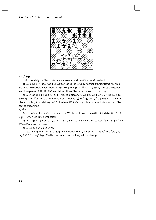

#### $12 \ldots \hat{\diamond}$  b4?

Unfortunately for Black this move allows a fatal sacrifice on h7. Instead:

a) 12...d4?! 13  $\&$ xd4  $\&$ xd4 14  $\&$ xd4  $\&$ xd3+ (as usually happens in positions like this Black has to double-check before capturing on d4: 14... Wxd4? 15  $x + 1$ oses the queen and the game) 15 Wxd3 & b7 and I don't think Black compensation is enough.

b) 12... 2xd3+ 13 Wxd3 (13 cxd3?? loses a piece to 13...d4) 13...b4 (or 13... 2b4 14 Wd2 I.Lopez Mulet, Spanish League 2018, where White's kingside attack looks faster than Black's on the queenside.

#### 13 b1?

As in the Shankland-Cori game above, White could sacrifice with 13  $\&$ xh7+!  $\&$ xh7 14 ②q5+, when Black is defenceless:

a) 14... \$ 96 15 f5+ exf5 (15... \$ xf5 16 h5 is mate in 8 according to Stockfish) 16 h5+ \$h6 17 Zxf7+ wins the queen.

b) 14... \$h6 15 f5 also wins.

fxq5 Wc7 18 hxq6 fxq6 19 Lh6 and White's attack is just too strong.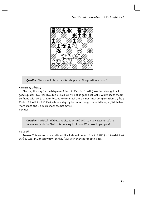

**Question:** Black should take the d3-bishop now. The question is: how?

#### Answer: 13... bxd3!

Clearing the way for the b5-pawn. After 13... 2 cxd3 14 cxd3 (now the b4-knight lacks good squares) 14...②c6 (14...d4 15 ②xd4 拿b7 is not as good as it looks: White keeps the upper hand with 16 f5! and unfortunately for Black there is not much compensation) 15  $\&$ d4 ②xd4 16 &xd4 &d7 17 ②e2 White is slightly better. Although material is equal, White has more space and Black's bishops are not active. 14 cxd3

**Question:** A critical middlegame situation, and with so many decent-looking moves available for Black, it is not easy to choose. What would you play?

#### $14...b4?$

Answer: This seems to be mistimed. Black should prefer 14...a5 15  $\overline{\mathscr{C}}$  (or 15  $\triangle$ xb5  $\triangle$ a6 16 Wez  $\Xi$ c8) 15...b4 (only now) 16  $\Omega$ e2  $\Omega$ a4 with chances for both sides.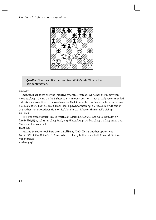

**Question:** Now the critical decision is on White's side. What is the best continuation?

#### 15 2e2?!

Answer: Black takes over the initiative after this. Instead, White has the in-between move 15  $\&$ xc5!. Giving up the bishop pair in an open position is not usually recommended, but this is an exception to the rule because Black in unable to activate the bishops in time: 15...இxc5 (if 15...bxc3 16 Wxc3, Black loses a pawn for nothing) 16 2a4 இe7 17 d4 and in this rather more closed position, White's knight pair is better than Black's bishops.

#### 15... d7

This line from Stockfish is also worth considering: 15...a5 16 \\vid C1 d4 17 \&xd4 (or 17 Black is not worse at all.

#### 16 g4  $\Xi$ c8

Putting the other rook here after 16... Wb8 17 2ed4 里c8 is another option. Not 16... \$b5?! 17 \$xc5! \$xc5 18 f5 and White is clearly better, since both \ffa and f5-f6 are huge threats.

#### 17 *Deda* b3!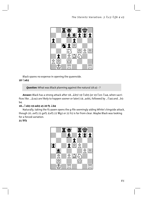

Black spares no expense in opening the queenside.

#### 18 2xb3

**Question:** What was Black planning against the natural 18 a3 -?

Answer: Black has a strong attack after 18... b5! 19 2xb5 (or 19 2e1 2a4, when sacrifices like ... & xa3 are likely to happen sooner or later) 19...axb5, followed by ... 4a4 and ...b5 $b4.$ 

#### 18... *Axb*3 19 axb3 a5 20 f5 *Lb4*

Naturally, taking the f5-pawn opens the g-file seemingly aiding White's kingside attack, though 20...exf5 21 gxf5 &xf5 22 Wg2 or 22 h5 is far from clear. Maybe Black was looking for a forced variation.

#### 21 幽f2

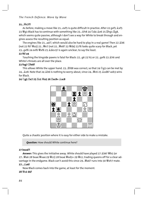#### *The French Defence: Move by Move*

#### **21...Ëc7?!**

As before, making a move like 21...exf5 is quite difficult in practice. After 22 qxf5  $\&$ xf5 23 營g3 Black has to continue with something like 23... 南8 24 公d4 拿e6 25 罝hg1 罝g8, which seems quite passive, although I don't see a way for White to break through and engines assess the resulting position as equal.

The engines like 21...a4!?, which would also be hard to play in a real game! Then 22  $2b6$ (not 22 f6?  $\equiv$ a5) 22... $\equiv$ e7 (not 22... $\equiv$ e8? 23  $\equiv$ d4) 23 f6 looks quite scary for Black, yet 23...qxf6 24 exf6  $\mathcal{L}$ xf6 25  $\mathcal{L}$ d4 e5! is again unclear, to say the least.

#### **22 f6! a4**

Touching the kingside pawns is fatal for Black: 22... $q6$  23 h5 or 22... $qxf6$  23  $\triangleq$ h6 and White's threats are all over the place.

#### **23 fxg7 Îfe8?**

This allows White the upper hand. 23... $\mathbb{E}$ fd8 was correct, so that 24  $\oslash$ q5 can be met by 24... e8. Note that 24 gb6 is nothing to worry about, since 24... Such 25 gxd8? axb3 wins for Black.

#### **24 Ìg5 Îe7 25 Îc1 Ëa5 26 Îxc8+ Íxc8**



Quite a chaotic position where it is easy for either side to make a mistake.

*Question:* How should White continue here?

#### **27 bxa4?!**

Answer: This gives the initiative away. White should have played 27  $\&$  b6!  $\&$  b5 (or 27... Wa6 28 bxa4 Wxa4 29 Wc2) 28 bxa4 Wxd3+ 29 Wc2, trading queens off for a clear advantage in the endgame. Black can't avoid this since 29... Wa6? runs into 30 Wxh7 mate. **27...Ía6!** 

Now Black comes back into the game, at least for the moment.

#### **28 Ëc2 d4?**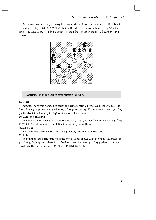As we've already noted, it is easy to make mistakes in such a complex position. Black draws.



**Question:** Find the decisive continuation for White.

#### 29 <sup>金</sup> f4?!

Answer: There was no need to touch the bishop. After 29 2e4! \$xq7 (or 29...dxe3 30 公f6+ 含xq7 31 d4!! followed by 曾xh7) 30 公f6 (preventing ... Lc7 in view of 公e8+) 30... La7 (or 30...dxe3 31 d4 again) 31 2g5 White should be winning.

#### 29... LC7 30 曾d1 鱼b5!!

The only way for Black to carry on the attack. 30... $\triangle$ c3 is insufficient in view of 31  $\triangle$ e4 置b7 32 置h2 and, believe it or not, Black is running out of threats.

#### 31 axb5  $\Xi$ a7

Now White is the one who must play precisely not to lose on the spot.

#### 32 營f3?

The final mistake. The little nuisance move 32 b6! allows White to hold: 32... Wa2+ (or 32....置a8 33 b7!) 33 <e>2 (there is no check on the c-file now!) 33....置a5 34 ②e4 and Black must take the perpetual with 36... Wa4+ 37 \$b1 Wa2+ etc.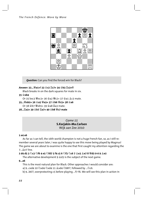

**Question:** Can you find the forced win for Black?

#### Answer: 32... ||a1+! 33 宫c2 耳c7+ 34 宫b3 耳c3+!!

Black breaks in on the dark squares for mate in six.

35 含xb4

Or 35 bxc3 豐xc3+ 36 會a2 豐c2+ 37 會a1 拿c3 mate.

35... 響xb2+ 36 含a5 響a3+ 37 含b6 響c5+ 38 含a6

Or 38 曾b7 豐xb5+ 39 曾a8 罝a3 mate.

38... 日a3+ 39 含b7 耳a7+ 40 含b8 響c7 mate

Game 15 S.Karjakin-Ma.Carlsen Wijk aan Zee 2010

#### 1 e4 e6

As far as I can tell, the 16th world champion is not a huge French fan, so, as I still remember several years later, I was quite happy to see this move being played by Magnus! The game we are about to examine is the one that first caught my attention regarding the 7... e7 line.

2 d4 d5 3 ��C3 ��f6 4 e5 ��fd7 5 f4 c5 6 ��f3 ��c6 7 ��e3 ��e7 8 ��d2 0-0 9 ��e2

The alternative development 9  $\triangle d3$  is the subject of the next game.

 $9...a6$ 

This is the most natural plan for Black. Other approaches I would consider are:

a) 9...cxd4 10 2xd4 2xd4 11 2xd4 2b8!?, followed by ... 2c6.

b) 9...b6!?, overprotecting c5 before playing ...f7-f6. We will see this plan in action in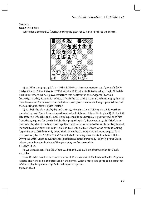### Game 17.

#### 10 0-0 b5 11 \$h1

White has also tried 11  $\&$ d1!?, clearing the path for c2-c3 to reinforce the centre:



a) 11..., [6] 06 12 c3 a5 13  $2f2$  b4!? (this is likely an improvement on 13...f5 14 exf6  $2x$ f6 15 dxc5 拿xc5 16 拿xc5 豐xc5+ 17 豐e3 豐xe3+ 18 ②xe3 as in D.Swiercz-l.Nyzhnyk, Philadelphia 2018, where White's pawn structure was healthier in the endgame) 14 f5 a4 (14...exf5?! 15 @e3 is good for White, as both the d5- and f5-pawns are hanging) 15 f6 may have been what Black was concerned about, and given the chance I might play White, but the resulting position is quite unclear.

b) 11...b4! (the plan of ...b5-b4 and ...a6-a5, releasing the c8-bishop via a6, is worth remembering, and Black does not need to attack a knight on c3 in order to play it) 12 c3 a5 13 单f2 (after 13 ଧf2 營b6 and ...உa6, Black's queenside counterplay is guaranteed, so White frees the e3-square for the d1-knight thus preparing f4-f5; however...) 13...f6! (Black is active on both sides of the board and applies maximum pressure to the white centre) 14 @e3 (neither 14 dxc5?! fxe5 nor 14 f5?! fxe5 15 fxe6 \frac{16 dxe5 \diple4 is what White is looking for: while 14 exf6?!  $\&$ xf6 only helps Black, since the d1-knight would want to go to f2 in this position) 14...fxe5 15 fxe5 2a6 16 公c2 營c8 was Y.Kryvoruchko-M.Bluebaum, Baku Olympiad 2016. Engines evaluate this position as equal. Personally I slightly prefer Black, whose game is easier in view of the great play on the queenside.

#### $11...$  (2 a 3

As we've just seen, if 12 @d1 then 12...b4! and ...a6-a5 is an effective plan for Black.  $12...207$ 

Now 12...b4?! is not as accurate in view of 13 axb4 cxb4 14  $\Diamond$ a4, when Black's c5-pawn is gone and hence so is the pressure on the centre. What's more, it is going to be easier for White to play f4-f5 since ...c5xd4 is no longer an option.

#### 13 **Ead1 Eac8**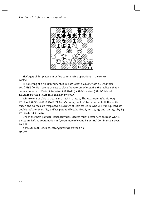

Black gets all his pieces out before commencing operations in the centre.

#### 14 We1

The opening of c-file is imminent. If 14 dxc5  $\&$ xc5 15  $\&$ xc5  $\&$ xc5 16  $\&$ d4 then 16... Ifd8!? (while it seems useless to place the rook on a closed file, the reality is that it 14...cxd4 15 2xd4 2xd4 16 2xd4 2c5 17 曾h4?!

White won't be able to create an attack in time. 17  $\frac{w}{w}$ f2 was preferable, although 17... & xd4 18 Wxd4 (if 18 Exd4 f6!, Black's timing couldn't be better, as both the white queen and d4-rook are misplaced) 18... Fest is at least for Black, who will trade queens off, double rooks on the c-file, and has potential breaks like ...f7-f6, ...q7-q5 and ...a6-a5, ...b5-b4.

#### 17... xd4 18  $\mathbb{Z}$ xd4 f6!

One of the most popular French ruptures. Black is much better here because White's pieces are lacking coordination and, even more relevant, his central dominance is over. 19 *L*d3

If 19 exf6 axf6, Black has strong pressure on the f-file.

#### $19...h6$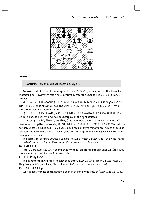

#### 20 exf6

**Question:** How should Black react to 20  $\mathcal{Q}_q$  4 - ?

Answer: Most of us would be tempted to play 20... [6] both attacking the d4-rook and protecting e6. However, White finds counterplay after the unexpected 21  $\triangle xds$ !. For example:

quite an unusual perpetual check!

b) 21...拿xd5 22 Ixd5 exd5 (or 22...f5 23 뺱f3 exd5 24 뺱xd5+ 솧h8 25 뺱xd7) 23 뺱xd7 and Black still has to deal with White's counterplay on the light squares.

cient way to stop the checkmate: 23.... Ltd8?! 24 exd7 空f8 25 dxc8 s @ vkc8 26 sh7 is just too dangerous for Black) 24 cxd3 @c5 gives Black a rook and two minor pieces which should be stronger than White's queen. That said, the position is quite unclear especially with White having a passer on e6.

The correct response is 20... ⁄ e5! 21 exf6 (not 21 b4? fxe5 22 fxe5 4 xd3 and wins thanks to the backranker on f1) 21... Exf6, when Black keeps a big advantage.

#### 20... Ixf6 21 f5

After 21 響g3 Icf8 22 If3 it seems that White is stabilizing, but Black has 22....... [2] h8! and there is not much White can do to stop ... (2) c6.

#### 21... Lcf8 22 里g1 2c5!

This is better than winning the exchange after 22...e5 23 2xd5 &xd5 24  $\&$ xd5 2b6 25 彎e4 公xd5 26 營xd5+ 含h8 27 罩e1, when White's position is not easy to crack.

#### 23 fxe6 2xe6 24 骂g4

White's lack of piece coordination is seen in the following line: 24  $\triangle$ xd5  $\triangle x$ d5 25  $\triangle x$ d5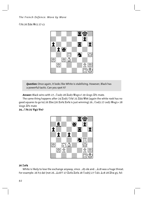#### The French Defence: Move by Move

②f4 26 Hd4 Wc5 27 c3



**Question:** Once again, it looks like White is stabilizing. However, Black has a powerful tactic. Can you spot it?

Answer: Black wins with 27... 2xd3 28 Ixd3 營xg1+! 29 含xg1 If1 mate.

The same thing happens after 24  $\mathbb{Z}$ xd5  $\Diamond$ f4! 25  $\mathbb{Z}$ d4  $\mathbb{Z}$ b6 (again the white rook has no good squares to go to) 26 Eb4 (26 Exf4 Exf4 is just winning) 26... 2xd3 27 cxd3 Wxq1+ 28 含xg1 置f1 mate

24…②f4 25 響g3 響e7



#### 26  $\Sigma$ xf4

White is likely to lose the exchange anyway, since ...d5-d4 and ... &c8 was a huge threat. For example: 26 h3 d4! (not 26... e8?? 27 Exf4 Exf4 28 2xd5) 27 2d1 ec8 28 Eh4 q5, fol